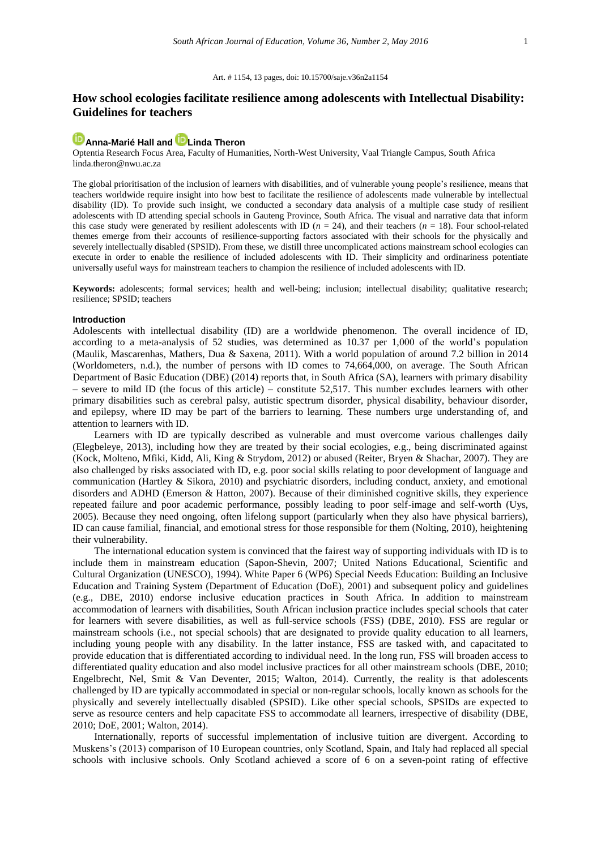### Art. # 1154, 13 pages, doi: 10.15700/saje.v36n2a1154

# **How school ecologies facilitate resilience among adolescents with Intellectual Disability: Guidelines for teachers**

## **[Anna-Marié Hall](http://orcid.org/0000-0002-6975-0120) and [Linda Theron](http://orcid.org/0000-0002-3979-5782)**

Optentia Research Focus Area, Faculty of Humanities, North-West University, Vaal Triangle Campus, South Africa linda.theron@nwu.ac.za

The global prioritisation of the inclusion of learners with disabilities, and of vulnerable young people's resilience, means that teachers worldwide require insight into how best to facilitate the resilience of adolescents made vulnerable by intellectual disability (ID). To provide such insight, we conducted a secondary data analysis of a multiple case study of resilient adolescents with ID attending special schools in Gauteng Province, South Africa. The visual and narrative data that inform this case study were generated by resilient adolescents with ID ( $n = 24$ ), and their teachers ( $n = 18$ ). Four school-related themes emerge from their accounts of resilience-supporting factors associated with their schools for the physically and severely intellectually disabled (SPSID). From these, we distill three uncomplicated actions mainstream school ecologies can execute in order to enable the resilience of included adolescents with ID. Their simplicity and ordinariness potentiate universally useful ways for mainstream teachers to champion the resilience of included adolescents with ID.

**Keywords:** adolescents; formal services; health and well-being; inclusion; intellectual disability; qualitative research; resilience; SPSID; teachers

#### **Introduction**

Adolescents with intellectual disability (ID) are a worldwide phenomenon. The overall incidence of ID, according to a meta-analysis of 52 studies, was determined as 10.37 per 1,000 of the world's population (Maulik, Mascarenhas, Mathers, Dua & Saxena, 2011). With a world population of around 7.2 billion in 2014 (Worldometers, n.d.), the number of persons with ID comes to 74,664,000, on average. The South African Department of Basic Education (DBE) (2014) reports that, in South Africa (SA), learners with primary disability – severe to mild ID (the focus of this article) – constitute 52,517. This number excludes learners with other primary disabilities such as cerebral palsy, autistic spectrum disorder, physical disability, behaviour disorder, and epilepsy, where ID may be part of the barriers to learning. These numbers urge understanding of, and attention to learners with ID.

Learners with ID are typically described as vulnerable and must overcome various challenges daily (Elegbeleye, 2013), including how they are treated by their social ecologies, e.g., being discriminated against (Kock, Molteno, Mfiki, Kidd, Ali, King & Strydom, 2012) or abused (Reiter, Bryen & Shachar, 2007). They are also challenged by risks associated with ID, e.g. poor social skills relating to poor development of language and communication (Hartley & Sikora, 2010) and psychiatric disorders, including conduct, anxiety, and emotional disorders and ADHD (Emerson & Hatton, 2007). Because of their diminished cognitive skills, they experience repeated failure and poor academic performance, possibly leading to poor self-image and self-worth (Uys, 2005). Because they need ongoing, often lifelong support (particularly when they also have physical barriers), ID can cause familial, financial, and emotional stress for those responsible for them (Nolting, 2010), heightening their vulnerability.

The international education system is convinced that the fairest way of supporting individuals with ID is to include them in mainstream education (Sapon-Shevin, 2007; United Nations Educational, Scientific and Cultural Organization (UNESCO), 1994). White Paper 6 (WP6) Special Needs Education: Building an Inclusive Education and Training System (Department of Education (DoE), 2001) and subsequent policy and guidelines (e.g., DBE, 2010) endorse inclusive education practices in South Africa. In addition to mainstream accommodation of learners with disabilities, South African inclusion practice includes special schools that cater for learners with severe disabilities, as well as full-service schools (FSS) (DBE, 2010). FSS are regular or mainstream schools (i.e., not special schools) that are designated to provide quality education to all learners, including young people with any disability. In the latter instance, FSS are tasked with, and capacitated to provide education that is differentiated according to individual need. In the long run, FSS will broaden access to differentiated quality education and also model inclusive practices for all other mainstream schools (DBE, 2010; Engelbrecht, Nel, Smit & Van Deventer, 2015; Walton, 2014). Currently, the reality is that adolescents challenged by ID are typically accommodated in special or non-regular schools, locally known as schools for the physically and severely intellectually disabled (SPSID). Like other special schools, SPSIDs are expected to serve as resource centers and help capacitate FSS to accommodate all learners, irrespective of disability (DBE, 2010; DoE, 2001; Walton, 2014).

Internationally, reports of successful implementation of inclusive tuition are divergent. According to Muskens's (2013) comparison of 10 European countries, only Scotland, Spain, and Italy had replaced all special schools with inclusive schools. Only Scotland achieved a score of 6 on a seven-point rating of effective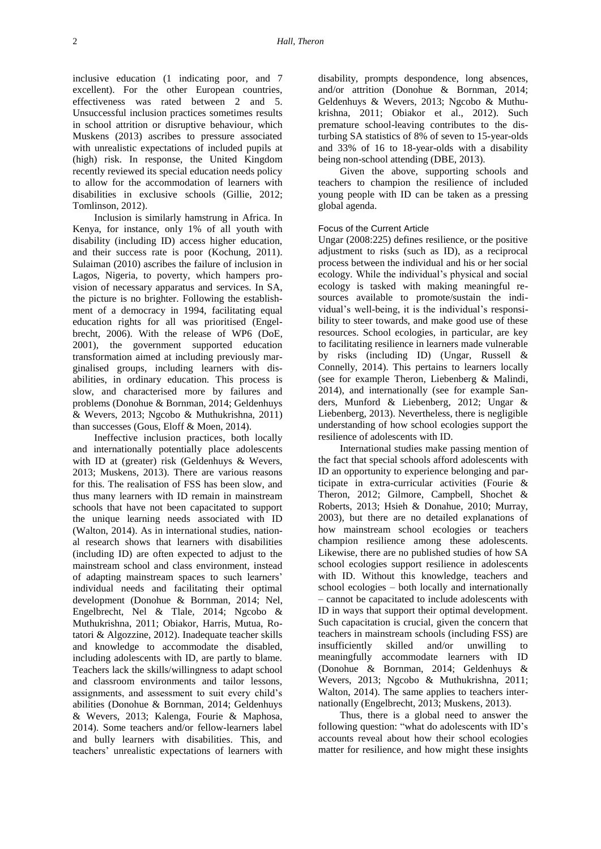inclusive education (1 indicating poor, and 7 excellent). For the other European countries, effectiveness was rated between 2 and 5. Unsuccessful inclusion practices sometimes results in school attrition or disruptive behaviour, which Muskens (2013) ascribes to pressure associated with unrealistic expectations of included pupils at (high) risk. In response, the United Kingdom recently reviewed its special education needs policy to allow for the accommodation of learners with disabilities in exclusive schools (Gillie, 2012; Tomlinson, 2012).

Inclusion is similarly hamstrung in Africa. In Kenya, for instance, only 1% of all youth with disability (including ID) access higher education, and their success rate is poor (Kochung, 2011). Sulaiman (2010) ascribes the failure of inclusion in Lagos, Nigeria, to poverty, which hampers provision of necessary apparatus and services. In SA, the picture is no brighter. Following the establishment of a democracy in 1994, facilitating equal education rights for all was prioritised (Engelbrecht, 2006). With the release of WP6 (DoE, 2001), the government supported education transformation aimed at including previously marginalised groups, including learners with disabilities, in ordinary education. This process is slow, and characterised more by failures and problems (Donohue & Bornman, 2014; Geldenhuys & Wevers, 2013; Ngcobo & Muthukrishna, 2011) than successes (Gous, Eloff & Moen, 2014).

Ineffective inclusion practices, both locally and internationally potentially place adolescents with ID at (greater) risk (Geldenhuys & Wevers, 2013; Muskens, 2013). There are various reasons for this. The realisation of FSS has been slow, and thus many learners with ID remain in mainstream schools that have not been capacitated to support the unique learning needs associated with ID (Walton, 2014). As in international studies, national research shows that learners with disabilities (including ID) are often expected to adjust to the mainstream school and class environment, instead of adapting mainstream spaces to such learners' individual needs and facilitating their optimal development (Donohue & Bornman, 2014; Nel, Engelbrecht, Nel & Tlale, 2014; Ngcobo & Muthukrishna, 2011; Obiakor, Harris, Mutua, Rotatori & Algozzine, 2012). Inadequate teacher skills and knowledge to accommodate the disabled, including adolescents with ID, are partly to blame. Teachers lack the skills/willingness to adapt school and classroom environments and tailor lessons, assignments, and assessment to suit every child's abilities (Donohue & Bornman, 2014; Geldenhuys & Wevers, 2013; Kalenga, Fourie & Maphosa, 2014). Some teachers and/or fellow-learners label and bully learners with disabilities. This, and teachers' unrealistic expectations of learners with

disability, prompts despondence, long absences, and/or attrition (Donohue & Bornman, 2014; Geldenhuys & Wevers, 2013; Ngcobo & Muthukrishna, 2011; Obiakor et al., 2012). Such premature school-leaving contributes to the disturbing SA statistics of 8% of seven to 15-year-olds and 33% of 16 to 18-year-olds with a disability being non-school attending (DBE, 2013).

Given the above, supporting schools and teachers to champion the resilience of included young people with ID can be taken as a pressing global agenda.

### Focus of the Current Article

Ungar (2008:225) defines resilience, or the positive adjustment to risks (such as ID), as a reciprocal process between the individual and his or her social ecology. While the individual's physical and social ecology is tasked with making meaningful resources available to promote/sustain the individual's well-being, it is the individual's responsibility to steer towards, and make good use of these resources. School ecologies, in particular, are key to facilitating resilience in learners made vulnerable by risks (including ID) (Ungar, Russell & Connelly, 2014). This pertains to learners locally (see for example Theron, Liebenberg & Malindi, 2014), and internationally (see for example Sanders, Munford & Liebenberg, 2012; Ungar & Liebenberg, 2013). Nevertheless, there is negligible understanding of how school ecologies support the resilience of adolescents with ID.

International studies make passing mention of the fact that special schools afford adolescents with ID an opportunity to experience belonging and participate in extra-curricular activities (Fourie & Theron, 2012; Gilmore, Campbell, Shochet & Roberts, 2013; Hsieh & Donahue, 2010; Murray, 2003), but there are no detailed explanations of how mainstream school ecologies or teachers champion resilience among these adolescents. Likewise, there are no published studies of how SA school ecologies support resilience in adolescents with ID. Without this knowledge, teachers and school ecologies – both locally and internationally – cannot be capacitated to include adolescents with ID in ways that support their optimal development. Such capacitation is crucial, given the concern that teachers in mainstream schools (including FSS) are insufficiently skilled and/or unwilling to meaningfully accommodate learners with ID (Donohue & Bornman, 2014; Geldenhuys & Wevers, 2013; Ngcobo & Muthukrishna, 2011; Walton, 2014). The same applies to teachers internationally (Engelbrecht, 2013; Muskens, 2013).

Thus, there is a global need to answer the following question: "what do adolescents with ID's accounts reveal about how their school ecologies matter for resilience, and how might these insights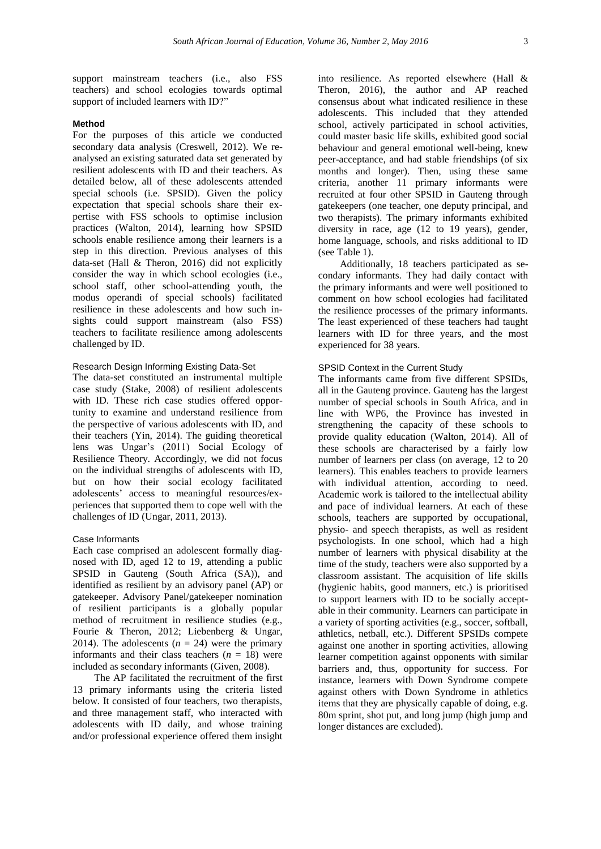support mainstream teachers (i.e., also FSS teachers) and school ecologies towards optimal support of included learners with ID?"

#### **Method**

For the purposes of this article we conducted secondary data analysis (Creswell, 2012). We reanalysed an existing saturated data set generated by resilient adolescents with ID and their teachers. As detailed below, all of these adolescents attended special schools (i.e. SPSID). Given the policy expectation that special schools share their expertise with FSS schools to optimise inclusion practices (Walton, 2014), learning how SPSID schools enable resilience among their learners is a step in this direction. Previous analyses of this data-set (Hall & Theron, 2016) did not explicitly consider the way in which school ecologies (i.e., school staff, other school-attending youth, the modus operandi of special schools) facilitated resilience in these adolescents and how such insights could support mainstream (also FSS) teachers to facilitate resilience among adolescents challenged by ID.

#### Research Design Informing Existing Data-Set

The data-set constituted an instrumental multiple case study (Stake, 2008) of resilient adolescents with ID. These rich case studies offered opportunity to examine and understand resilience from the perspective of various adolescents with ID, and their teachers (Yin, 2014). The guiding theoretical lens was Ungar's (2011) Social Ecology of Resilience Theory. Accordingly, we did not focus on the individual strengths of adolescents with ID, but on how their social ecology facilitated adolescents' access to meaningful resources/experiences that supported them to cope well with the challenges of ID (Ungar, 2011, 2013).

#### Case Informants

Each case comprised an adolescent formally diagnosed with ID, aged 12 to 19, attending a public SPSID in Gauteng (South Africa (SA)), and identified as resilient by an advisory panel (AP) or gatekeeper. Advisory Panel/gatekeeper nomination of resilient participants is a globally popular method of recruitment in resilience studies (e.g., Fourie & Theron, 2012; Liebenberg & Ungar, 2014). The adolescents  $(n = 24)$  were the primary informants and their class teachers  $(n = 18)$  were included as secondary informants (Given, 2008).

The AP facilitated the recruitment of the first 13 primary informants using the criteria listed below. It consisted of four teachers, two therapists, and three management staff, who interacted with adolescents with ID daily, and whose training and/or professional experience offered them insight

into resilience. As reported elsewhere (Hall & Theron, 2016), the author and AP reached consensus about what indicated resilience in these adolescents. This included that they attended school, actively participated in school activities, could master basic life skills, exhibited good social behaviour and general emotional well-being, knew peer-acceptance, and had stable friendships (of six months and longer). Then, using these same criteria, another 11 primary informants were recruited at four other SPSID in Gauteng through gatekeepers (one teacher, one deputy principal, and two therapists). The primary informants exhibited diversity in race, age (12 to 19 years), gender, home language, schools, and risks additional to ID (see Table 1).

Additionally, 18 teachers participated as secondary informants. They had daily contact with the primary informants and were well positioned to comment on how school ecologies had facilitated the resilience processes of the primary informants. The least experienced of these teachers had taught learners with ID for three years, and the most experienced for 38 years.

### SPSID Context in the Current Study

The informants came from five different SPSIDs, all in the Gauteng province. Gauteng has the largest number of special schools in South Africa, and in line with WP6, the Province has invested in strengthening the capacity of these schools to provide quality education (Walton, 2014). All of these schools are characterised by a fairly low number of learners per class (on average, 12 to 20 learners). This enables teachers to provide learners with individual attention, according to need. Academic work is tailored to the intellectual ability and pace of individual learners. At each of these schools, teachers are supported by occupational, physio- and speech therapists, as well as resident psychologists. In one school, which had a high number of learners with physical disability at the time of the study, teachers were also supported by a classroom assistant. The acquisition of life skills (hygienic habits, good manners, etc.) is prioritised to support learners with ID to be socially acceptable in their community. Learners can participate in a variety of sporting activities (e.g., soccer, softball, athletics, netball, etc.). Different SPSIDs compete against one another in sporting activities, allowing learner competition against opponents with similar barriers and, thus, opportunity for success. For instance, learners with Down Syndrome compete against others with Down Syndrome in athletics items that they are physically capable of doing, e.g. 80m sprint, shot put, and long jump (high jump and longer distances are excluded).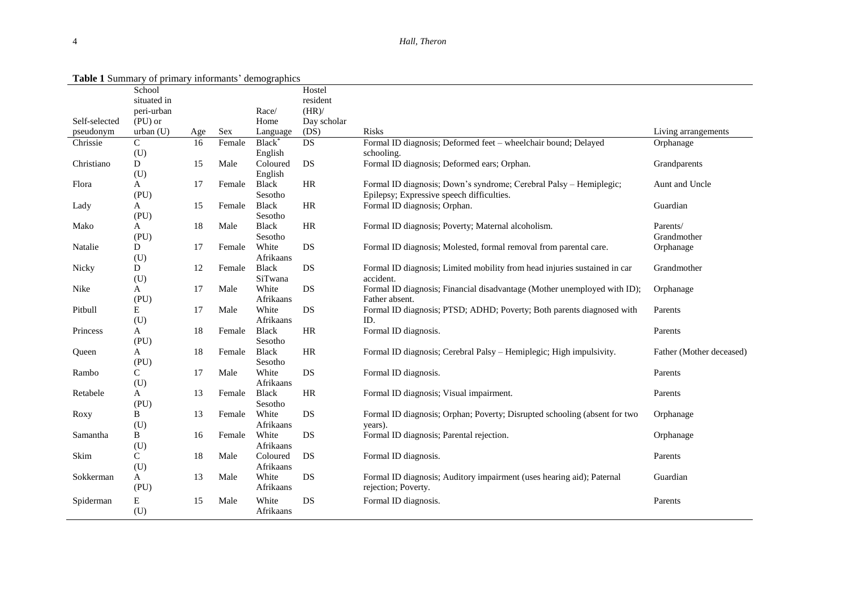|               | <b>rapic 1</b> Summary or primary informaties demographics |     |        |              |                 |                                                                           |                          |
|---------------|------------------------------------------------------------|-----|--------|--------------|-----------------|---------------------------------------------------------------------------|--------------------------|
|               | School                                                     |     |        |              | Hostel          |                                                                           |                          |
|               | situated in                                                |     |        |              | resident        |                                                                           |                          |
|               | peri-urban                                                 |     |        | Race/        | (HR)            |                                                                           |                          |
| Self-selected | $(PU)$ or                                                  |     |        | Home         | Day scholar     |                                                                           |                          |
| pseudonym     | urban(U)                                                   | Age | Sex    | Language     | (DS)            | Risks                                                                     | Living arrangements      |
| Chrissie      | $\mathsf{C}$                                               | 16  | Female | Black*       | $\overline{DS}$ | Formal ID diagnosis; Deformed feet - wheelchair bound; Delayed            | Orphanage                |
|               | (U)                                                        |     |        | English      |                 | schooling.                                                                |                          |
| Christiano    | D                                                          | 15  | Male   | Coloured     | DS              | Formal ID diagnosis; Deformed ears; Orphan.                               | Grandparents             |
|               | (U)                                                        |     |        | English      |                 |                                                                           |                          |
| Flora         | A                                                          | 17  | Female | <b>Black</b> | $\rm{HR}$       | Formal ID diagnosis; Down's syndrome; Cerebral Palsy - Hemiplegic;        | Aunt and Uncle           |
|               | (PU)                                                       |     |        | Sesotho      |                 | Epilepsy; Expressive speech difficulties.                                 |                          |
| Lady          | A                                                          | 15  | Female | <b>Black</b> | <b>HR</b>       | Formal ID diagnosis; Orphan.                                              | Guardian                 |
|               | (PU)                                                       |     |        | Sesotho      |                 |                                                                           |                          |
| Mako          | A                                                          | 18  | Male   | <b>Black</b> | <b>HR</b>       | Formal ID diagnosis; Poverty; Maternal alcoholism.                        | Parents/                 |
|               |                                                            |     |        |              |                 |                                                                           | Grandmother              |
|               | (PU)                                                       |     |        | Sesotho      |                 |                                                                           |                          |
| Natalie       | D                                                          | 17  | Female | White        | DS              | Formal ID diagnosis; Molested, formal removal from parental care.         | Orphanage                |
|               | (U)                                                        |     |        | Afrikaans    |                 |                                                                           |                          |
| Nicky         | D                                                          | 12  | Female | <b>Black</b> | DS              | Formal ID diagnosis; Limited mobility from head injuries sustained in car | Grandmother              |
|               | (U)                                                        |     |        | SiTwana      |                 | accident.                                                                 |                          |
| Nike          | A                                                          | 17  | Male   | White        | $DS$            | Formal ID diagnosis; Financial disadvantage (Mother unemployed with ID);  | Orphanage                |
|               | (PU)                                                       |     |        | Afrikaans    |                 | Father absent.                                                            |                          |
| Pitbull       | E                                                          | 17  | Male   | White        | DS              | Formal ID diagnosis; PTSD; ADHD; Poverty; Both parents diagnosed with     | Parents                  |
|               | (U)                                                        |     |        | Afrikaans    |                 | ID.                                                                       |                          |
| Princess      | A                                                          | 18  | Female | <b>Black</b> | $\rm{HR}$       | Formal ID diagnosis.                                                      | Parents                  |
|               | (PU)                                                       |     |        | Sesotho      |                 |                                                                           |                          |
| Queen         | A                                                          | 18  | Female | <b>Black</b> | HR              | Formal ID diagnosis; Cerebral Palsy - Hemiplegic; High impulsivity.       | Father (Mother deceased) |
|               | (PU)                                                       |     |        | Sesotho      |                 |                                                                           |                          |
| Rambo         | $\mathsf{C}$                                               | 17  | Male   | White        | DS              | Formal ID diagnosis.                                                      | Parents                  |
|               | (U)                                                        |     |        | Afrikaans    |                 |                                                                           |                          |
|               |                                                            |     |        |              | <b>HR</b>       |                                                                           |                          |
| Retabele      | A                                                          | 13  | Female | <b>Black</b> |                 | Formal ID diagnosis; Visual impairment.                                   | Parents                  |
|               | (PU)                                                       |     |        | Sesotho      |                 |                                                                           |                          |
| Roxy          | B                                                          | 13  | Female | White        | DS              | Formal ID diagnosis; Orphan; Poverty; Disrupted schooling (absent for two | Orphanage                |
|               | (U)                                                        |     |        | Afrikaans    |                 | years).                                                                   |                          |
| Samantha      | B                                                          | 16  | Female | White        | DS              | Formal ID diagnosis; Parental rejection.                                  | Orphanage                |
|               | (U)                                                        |     |        | Afrikaans    |                 |                                                                           |                          |
| Skim          | $\mathsf{C}$                                               | 18  | Male   | Coloured     | DS              | Formal ID diagnosis.                                                      | Parents                  |
|               | (U)                                                        |     |        | Afrikaans    |                 |                                                                           |                          |
| Sokkerman     | A                                                          | 13  | Male   | White        | DS              | Formal ID diagnosis; Auditory impairment (uses hearing aid); Paternal     | Guardian                 |
|               | (PU)                                                       |     |        | Afrikaans    |                 | rejection; Poverty.                                                       |                          |
|               |                                                            | 15  | Male   | White        | DS              | Formal ID diagnosis.                                                      | Parents                  |
| Spiderman     | E                                                          |     |        |              |                 |                                                                           |                          |
|               | (U)                                                        |     |        | Afrikaans    |                 |                                                                           |                          |

**Table 1** Summary of primary informants' demographics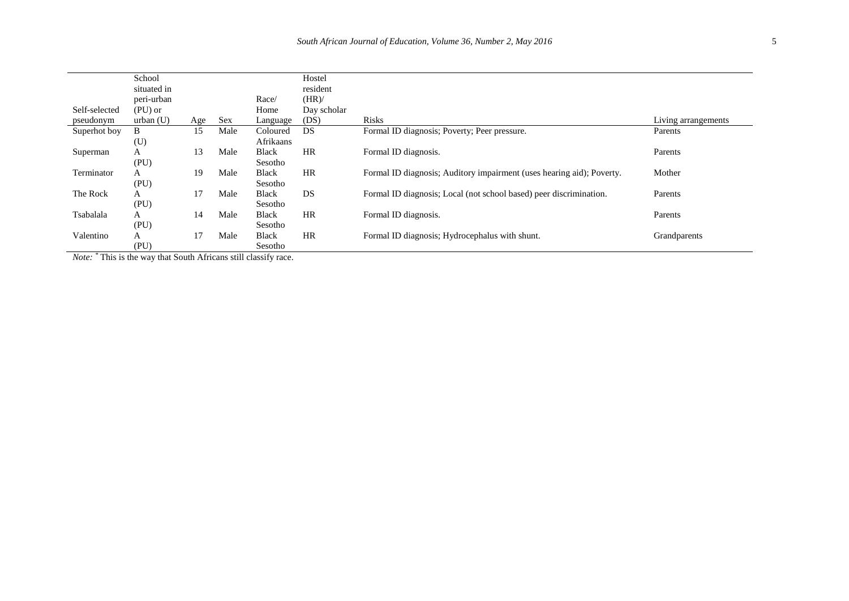|               | School      |     |            |              | Hostel      |                                                                       |                     |
|---------------|-------------|-----|------------|--------------|-------------|-----------------------------------------------------------------------|---------------------|
|               | situated in |     |            |              | resident    |                                                                       |                     |
|               | peri-urban  |     |            | Race/        | (HR)        |                                                                       |                     |
| Self-selected | (PU) or     |     |            | Home         | Day scholar |                                                                       |                     |
| pseudonym     | urban(U)    | Age | <b>Sex</b> | Language     | (DS)        | Risks                                                                 | Living arrangements |
| Superhot boy  | B           | 15  | Male       | Coloured     | DS          | Formal ID diagnosis; Poverty; Peer pressure.                          | Parents             |
|               | (U)         |     |            | Afrikaans    |             |                                                                       |                     |
| Superman      | А           | 13  | Male       | <b>Black</b> | <b>HR</b>   | Formal ID diagnosis.                                                  | Parents             |
|               | (PU)        |     |            | Sesotho      |             |                                                                       |                     |
| Terminator    | A           | 19  | Male       | <b>Black</b> | <b>HR</b>   | Formal ID diagnosis; Auditory impairment (uses hearing aid); Poverty. | Mother              |
|               | (PU)        |     |            | Sesotho      |             |                                                                       |                     |
| The Rock      | A           | 17  | Male       | <b>Black</b> | DS          | Formal ID diagnosis; Local (not school based) peer discrimination.    | Parents             |
|               | (PU)        |     |            | Sesotho      |             |                                                                       |                     |
| Tsabalala     | A           | 14  | Male       | <b>Black</b> | <b>HR</b>   | Formal ID diagnosis.                                                  | Parents             |
|               | (PU)        |     |            | Sesotho      |             |                                                                       |                     |
| Valentino     | А           | 17  | Male       | <b>Black</b> | <b>HR</b>   | Formal ID diagnosis; Hydrocephalus with shunt.                        | Grandparents        |
|               | (PU)        |     |            | Sesotho      |             |                                                                       |                     |

*Note: \** This is the way that South Africans still classify race.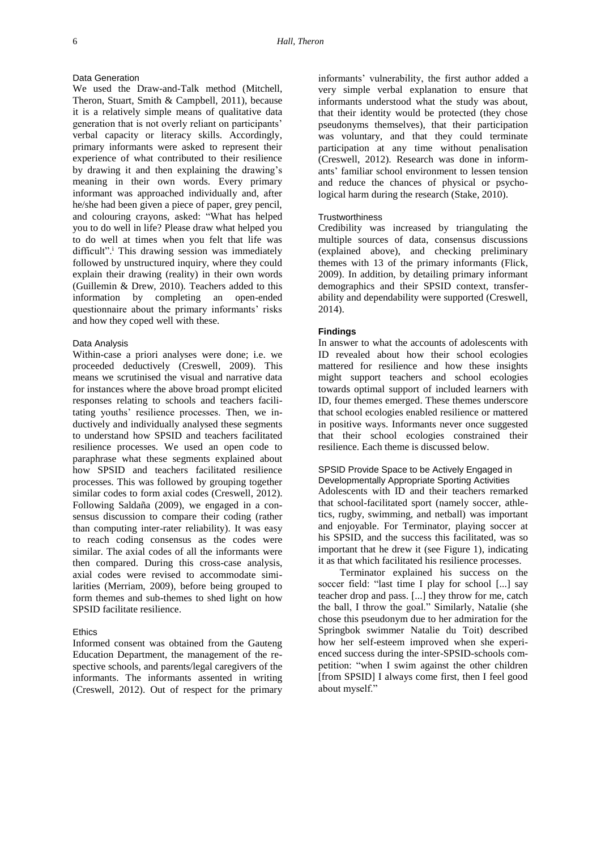### Data Generation

We used the Draw-and-Talk method (Mitchell, Theron, Stuart, Smith & Campbell, 2011), because it is a relatively simple means of qualitative data generation that is not overly reliant on participants' verbal capacity or literacy skills. Accordingly, primary informants were asked to represent their experience of what contributed to their resilience by drawing it and then explaining the drawing's meaning in their own words. Every primary informant was approached individually and, after he/she had been given a piece of paper, grey pencil, and colouring crayons, asked: "What has helped you to do well in life? Please draw what helped you to do well at times when you felt that life was difficult".<sup>i</sup> This drawing session was immediately followed by unstructured inquiry, where they could explain their drawing (reality) in their own words (Guillemin & Drew, 2010). Teachers added to this information by completing an open-ended questionnaire about the primary informants' risks and how they coped well with these.

### Data Analysis

Within-case a priori analyses were done; i.e. we proceeded deductively (Creswell, 2009). This means we scrutinised the visual and narrative data for instances where the above broad prompt elicited responses relating to schools and teachers facilitating youths' resilience processes. Then, we inductively and individually analysed these segments to understand how SPSID and teachers facilitated resilience processes. We used an open code to paraphrase what these segments explained about how SPSID and teachers facilitated resilience processes. This was followed by grouping together similar codes to form axial codes (Creswell, 2012). Following Saldaña (2009), we engaged in a consensus discussion to compare their coding (rather than computing inter-rater reliability). It was easy to reach coding consensus as the codes were similar. The axial codes of all the informants were then compared. During this cross-case analysis, axial codes were revised to accommodate similarities (Merriam, 2009), before being grouped to form themes and sub-themes to shed light on how SPSID facilitate resilience.

### **Ethics**

Informed consent was obtained from the Gauteng Education Department, the management of the respective schools, and parents/legal caregivers of the informants. The informants assented in writing (Creswell, 2012). Out of respect for the primary

informants' vulnerability, the first author added a very simple verbal explanation to ensure that informants understood what the study was about, that their identity would be protected (they chose pseudonyms themselves), that their participation was voluntary, and that they could terminate participation at any time without penalisation (Creswell, 2012). Research was done in informants' familiar school environment to lessen tension and reduce the chances of physical or psychological harm during the research (Stake, 2010).

### **Trustworthiness**

Credibility was increased by triangulating the multiple sources of data, consensus discussions (explained above), and checking preliminary themes with 13 of the primary informants (Flick, 2009). In addition, by detailing primary informant demographics and their SPSID context, transferability and dependability were supported (Creswell, 2014).

#### **Findings**

In answer to what the accounts of adolescents with ID revealed about how their school ecologies mattered for resilience and how these insights might support teachers and school ecologies towards optimal support of included learners with ID, four themes emerged. These themes underscore that school ecologies enabled resilience or mattered in positive ways. Informants never once suggested that their school ecologies constrained their resilience. Each theme is discussed below.

## SPSID Provide Space to be Actively Engaged in

Developmentally Appropriate Sporting Activities Adolescents with ID and their teachers remarked that school-facilitated sport (namely soccer, athletics, rugby, swimming, and netball) was important and enjoyable. For Terminator, playing soccer at his SPSID, and the success this facilitated, was so important that he drew it (see Figure 1), indicating it as that which facilitated his resilience processes.

Terminator explained his success on the soccer field: "last time I play for school [...] say teacher drop and pass. [...] they throw for me, catch the ball, I throw the goal." Similarly, Natalie (she chose this pseudonym due to her admiration for the Springbok swimmer Natalie du Toit) described how her self-esteem improved when she experienced success during the inter-SPSID-schools competition: "when I swim against the other children [from SPSID] I always come first, then I feel good about myself."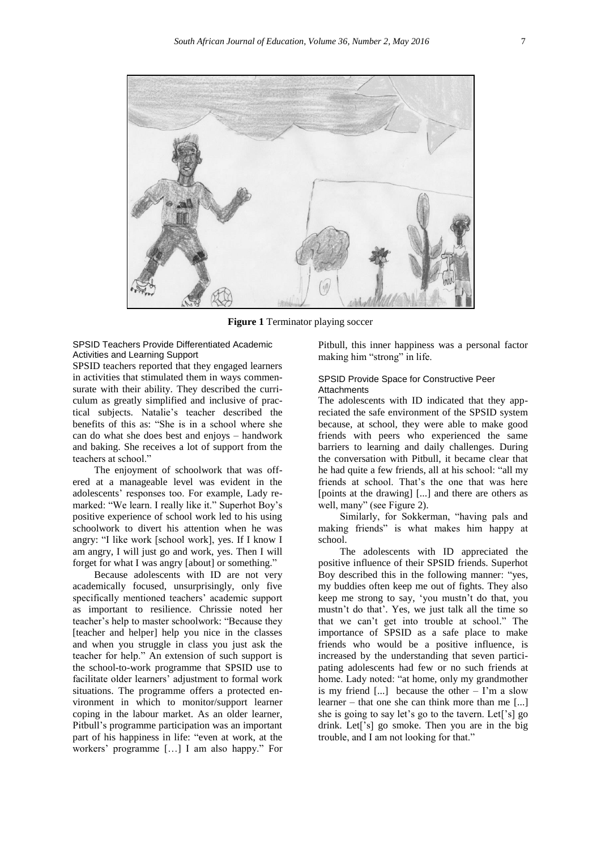

**Figure 1** Terminator playing soccer

SPSID Teachers Provide Differentiated Academic Activities and Learning Support

SPSID teachers reported that they engaged learners in activities that stimulated them in ways commensurate with their ability. They described the curriculum as greatly simplified and inclusive of practical subjects. Natalie's teacher described the benefits of this as: "She is in a school where she can do what she does best and enjoys – handwork and baking. She receives a lot of support from the teachers at school."

The enjoyment of schoolwork that was offered at a manageable level was evident in the adolescents' responses too. For example, Lady remarked: "We learn. I really like it." Superhot Boy's positive experience of school work led to his using schoolwork to divert his attention when he was angry: "I like work [school work], yes. If I know I am angry, I will just go and work, yes. Then I will forget for what I was angry [about] or something."

Because adolescents with ID are not very academically focused, unsurprisingly, only five specifically mentioned teachers' academic support as important to resilience. Chrissie noted her teacher's help to master schoolwork: "Because they [teacher and helper] help you nice in the classes and when you struggle in class you just ask the teacher for help." An extension of such support is the school-to-work programme that SPSID use to facilitate older learners' adjustment to formal work situations. The programme offers a protected environment in which to monitor/support learner coping in the labour market. As an older learner, Pitbull's programme participation was an important part of his happiness in life: "even at work, at the workers' programme […] I am also happy." For

Pitbull, this inner happiness was a personal factor making him "strong" in life.

### SPSID Provide Space for Constructive Peer **Attachments**

The adolescents with ID indicated that they appreciated the safe environment of the SPSID system because, at school, they were able to make good friends with peers who experienced the same barriers to learning and daily challenges. During the conversation with Pitbull, it became clear that he had quite a few friends, all at his school: "all my friends at school. That's the one that was here [points at the drawing] [...] and there are others as well, many" (see Figure 2).

Similarly, for Sokkerman, "having pals and making friends" is what makes him happy at school.

The adolescents with ID appreciated the positive influence of their SPSID friends. Superhot Boy described this in the following manner: "yes, my buddies often keep me out of fights. They also keep me strong to say, 'you mustn't do that, you mustn't do that'. Yes, we just talk all the time so that we can't get into trouble at school." The importance of SPSID as a safe place to make friends who would be a positive influence, is increased by the understanding that seven participating adolescents had few or no such friends at home. Lady noted: "at home, only my grandmother is my friend  $[...]$  because the other  $- I'm$  a slow learner – that one she can think more than me [...] she is going to say let's go to the tavern. Let['s] go drink. Let['s] go smoke. Then you are in the big trouble, and I am not looking for that."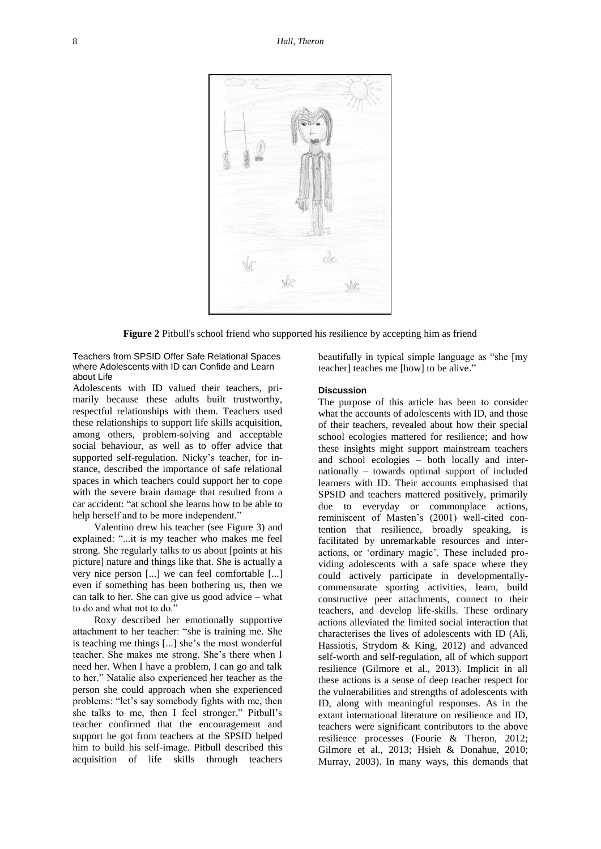

**Figure 2** Pitbull's school friend who supported his resilience by accepting him as friend

Teachers from SPSID Offer Safe Relational Spaces where Adolescents with ID can Confide and Learn about Life

Adolescents with ID valued their teachers, primarily because these adults built trustworthy, respectful relationships with them. Teachers used these relationships to support life skills acquisition, among others, problem-solving and acceptable social behaviour, as well as to offer advice that supported self-regulation. Nicky's teacher, for instance, described the importance of safe relational spaces in which teachers could support her to cope with the severe brain damage that resulted from a car accident: "at school she learns how to be able to help herself and to be more independent."

Valentino drew his teacher (see Figure 3) and explained: "...it is my teacher who makes me feel strong. She regularly talks to us about [points at his picture] nature and things like that. She is actually a very nice person [...] we can feel comfortable [...] even if something has been bothering us, then we can talk to her. She can give us good advice – what to do and what not to do."

Roxy described her emotionally supportive attachment to her teacher: "she is training me. She is teaching me things [...] she's the most wonderful teacher. She makes me strong. She's there when I need her. When I have a problem, I can go and talk to her." Natalie also experienced her teacher as the person she could approach when she experienced problems: "let's say somebody fights with me, then she talks to me, then I feel stronger." Pitbull's teacher confirmed that the encouragement and support he got from teachers at the SPSID helped him to build his self-image. Pitbull described this acquisition of life skills through teachers

beautifully in typical simple language as "she [my teacher] teaches me [how] to be alive."

## **Discussion**

The purpose of this article has been to consider what the accounts of adolescents with ID, and those of their teachers, revealed about how their special school ecologies mattered for resilience; and how these insights might support mainstream teachers and school ecologies – both locally and internationally – towards optimal support of included learners with ID. Their accounts emphasised that SPSID and teachers mattered positively, primarily due to everyday or commonplace actions, reminiscent of Masten's (2001) well-cited contention that resilience, broadly speaking, is facilitated by unremarkable resources and interactions, or 'ordinary magic'. These included providing adolescents with a safe space where they could actively participate in developmentallycommensurate sporting activities, learn, build constructive peer attachments, connect to their teachers, and develop life-skills. These ordinary actions alleviated the limited social interaction that characterises the lives of adolescents with ID (Ali, Hassiotis, Strydom & King, 2012) and advanced self-worth and self-regulation, all of which support resilience (Gilmore et al., 2013). Implicit in all these actions is a sense of deep teacher respect for the vulnerabilities and strengths of adolescents with ID, along with meaningful responses. As in the extant international literature on resilience and ID, teachers were significant contributors to the above resilience processes (Fourie & Theron, 2012; Gilmore et al., 2013; Hsieh & Donahue, 2010; Murray, 2003). In many ways, this demands that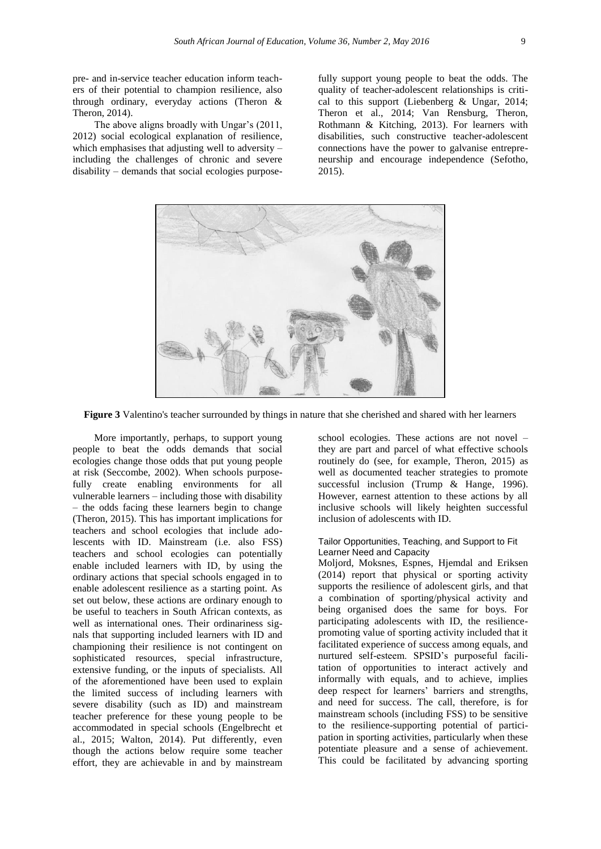pre- and in-service teacher education inform teachers of their potential to champion resilience, also through ordinary, everyday actions (Theron & Theron, 2014).

The above aligns broadly with Ungar's (2011, 2012) social ecological explanation of resilience, which emphasises that adjusting well to adversity – including the challenges of chronic and severe disability – demands that social ecologies purposefully support young people to beat the odds. The quality of teacher-adolescent relationships is critical to this support (Liebenberg & Ungar, 2014; Theron et al., 2014; Van Rensburg, Theron, Rothmann & Kitching, 2013). For learners with disabilities, such constructive teacher-adolescent connections have the power to galvanise entrepreneurship and encourage independence (Sefotho, 2015).



**Figure 3** Valentino's teacher surrounded by things in nature that she cherished and shared with her learners

More importantly, perhaps, to support young people to beat the odds demands that social ecologies change those odds that put young people at risk (Seccombe, 2002). When schools purposefully create enabling environments for all vulnerable learners – including those with disability – the odds facing these learners begin to change (Theron, 2015). This has important implications for teachers and school ecologies that include adolescents with ID. Mainstream (i.e. also FSS) teachers and school ecologies can potentially enable included learners with ID, by using the ordinary actions that special schools engaged in to enable adolescent resilience as a starting point. As set out below, these actions are ordinary enough to be useful to teachers in South African contexts, as well as international ones. Their ordinariness signals that supporting included learners with ID and championing their resilience is not contingent on sophisticated resources, special infrastructure, extensive funding, or the inputs of specialists. All of the aforementioned have been used to explain the limited success of including learners with severe disability (such as ID) and mainstream teacher preference for these young people to be accommodated in special schools (Engelbrecht et al., 2015; Walton, 2014). Put differently, even though the actions below require some teacher effort, they are achievable in and by mainstream school ecologies. These actions are not novel – they are part and parcel of what effective schools routinely do (see, for example, Theron, 2015) as well as documented teacher strategies to promote successful inclusion (Trump & Hange, 1996). However, earnest attention to these actions by all inclusive schools will likely heighten successful inclusion of adolescents with ID.

### Tailor Opportunities, Teaching, and Support to Fit Learner Need and Capacity

Moljord, Moksnes, Espnes, Hjemdal and Eriksen (2014) report that physical or sporting activity supports the resilience of adolescent girls, and that a combination of sporting/physical activity and being organised does the same for boys. For participating adolescents with ID, the resiliencepromoting value of sporting activity included that it facilitated experience of success among equals, and nurtured self-esteem. SPSID's purposeful facilitation of opportunities to interact actively and informally with equals, and to achieve, implies deep respect for learners' barriers and strengths, and need for success. The call, therefore, is for mainstream schools (including FSS) to be sensitive to the resilience-supporting potential of participation in sporting activities, particularly when these potentiate pleasure and a sense of achievement. This could be facilitated by advancing sporting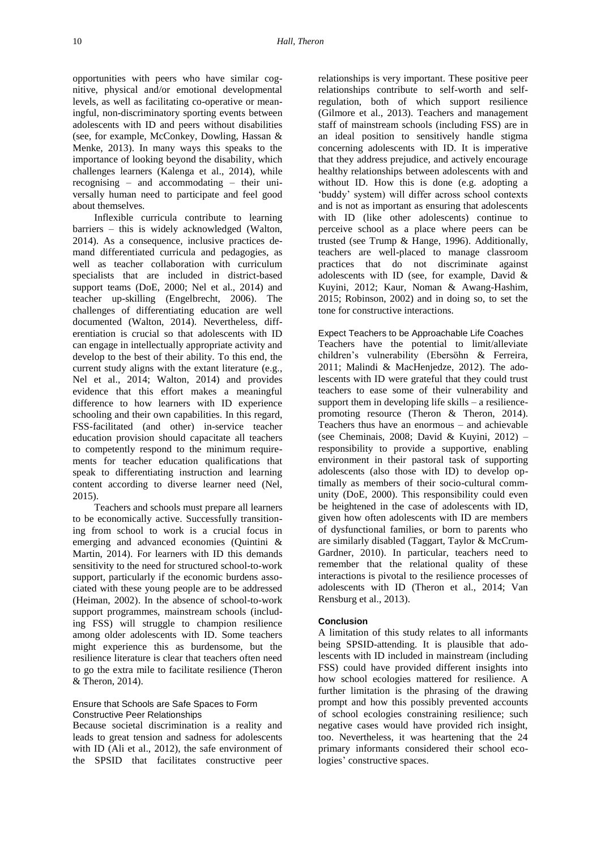opportunities with peers who have similar cognitive, physical and/or emotional developmental levels, as well as facilitating co-operative or meaningful, non-discriminatory sporting events between adolescents with ID and peers without disabilities (see, for example, McConkey, Dowling, Hassan & Menke, 2013). In many ways this speaks to the importance of looking beyond the disability, which challenges learners (Kalenga et al., 2014), while recognising – and accommodating – their universally human need to participate and feel good about themselves.

Inflexible curricula contribute to learning barriers – this is widely acknowledged (Walton, 2014). As a consequence, inclusive practices demand differentiated curricula and pedagogies, as well as teacher collaboration with curriculum specialists that are included in district-based support teams (DoE, 2000; Nel et al., 2014) and teacher up-skilling (Engelbrecht, 2006). The challenges of differentiating education are well documented (Walton, 2014). Nevertheless, differentiation is crucial so that adolescents with ID can engage in intellectually appropriate activity and develop to the best of their ability. To this end, the current study aligns with the extant literature (e.g., Nel et al., 2014; Walton, 2014) and provides evidence that this effort makes a meaningful difference to how learners with ID experience schooling and their own capabilities. In this regard, FSS-facilitated (and other) in-service teacher education provision should capacitate all teachers to competently respond to the minimum requirements for teacher education qualifications that speak to differentiating instruction and learning content according to diverse learner need (Nel, 2015).

Teachers and schools must prepare all learners to be economically active. Successfully transitioning from school to work is a crucial focus in emerging and advanced economies (Quintini & Martin, 2014). For learners with ID this demands sensitivity to the need for structured school-to-work support, particularly if the economic burdens associated with these young people are to be addressed (Heiman, 2002). In the absence of school-to-work support programmes, mainstream schools (including FSS) will struggle to champion resilience among older adolescents with ID. Some teachers might experience this as burdensome, but the resilience literature is clear that teachers often need to go the extra mile to facilitate resilience (Theron & Theron, 2014).

### Ensure that Schools are Safe Spaces to Form Constructive Peer Relationships

Because societal discrimination is a reality and leads to great tension and sadness for adolescents with ID (Ali et al., 2012), the safe environment of the SPSID that facilitates constructive peer

relationships is very important. These positive peer relationships contribute to self-worth and selfregulation, both of which support resilience (Gilmore et al., 2013). Teachers and management staff of mainstream schools (including FSS) are in an ideal position to sensitively handle stigma concerning adolescents with ID. It is imperative that they address prejudice, and actively encourage healthy relationships between adolescents with and without ID. How this is done (e.g. adopting a 'buddy' system) will differ across school contexts and is not as important as ensuring that adolescents with ID (like other adolescents) continue to perceive school as a place where peers can be trusted (see Trump & Hange, 1996). Additionally, teachers are well-placed to manage classroom practices that do not discriminate against adolescents with ID (see, for example, David & Kuyini, 2012; Kaur, Noman & Awang-Hashim, 2015; Robinson, 2002) and in doing so, to set the tone for constructive interactions.

Expect Teachers to be Approachable Life Coaches Teachers have the potential to limit/alleviate children's vulnerability (Ebersöhn & Ferreira, 2011; Malindi & MacHenjedze, 2012). The adolescents with ID were grateful that they could trust teachers to ease some of their vulnerability and support them in developing life skills – a resiliencepromoting resource (Theron & Theron, 2014). Teachers thus have an enormous – and achievable (see Cheminais, 2008; David & Kuyini, 2012) – responsibility to provide a supportive, enabling environment in their pastoral task of supporting adolescents (also those with ID) to develop optimally as members of their socio-cultural community (DoE, 2000). This responsibility could even be heightened in the case of adolescents with ID, given how often adolescents with ID are members of dysfunctional families, or born to parents who are similarly disabled (Taggart, Taylor & McCrum-Gardner, 2010). In particular, teachers need to remember that the relational quality of these interactions is pivotal to the resilience processes of adolescents with ID (Theron et al., 2014; Van Rensburg et al., 2013).

## **Conclusion**

A limitation of this study relates to all informants being SPSID-attending. It is plausible that adolescents with ID included in mainstream (including FSS) could have provided different insights into how school ecologies mattered for resilience. A further limitation is the phrasing of the drawing prompt and how this possibly prevented accounts of school ecologies constraining resilience; such negative cases would have provided rich insight, too. Nevertheless, it was heartening that the 24 primary informants considered their school ecologies' constructive spaces.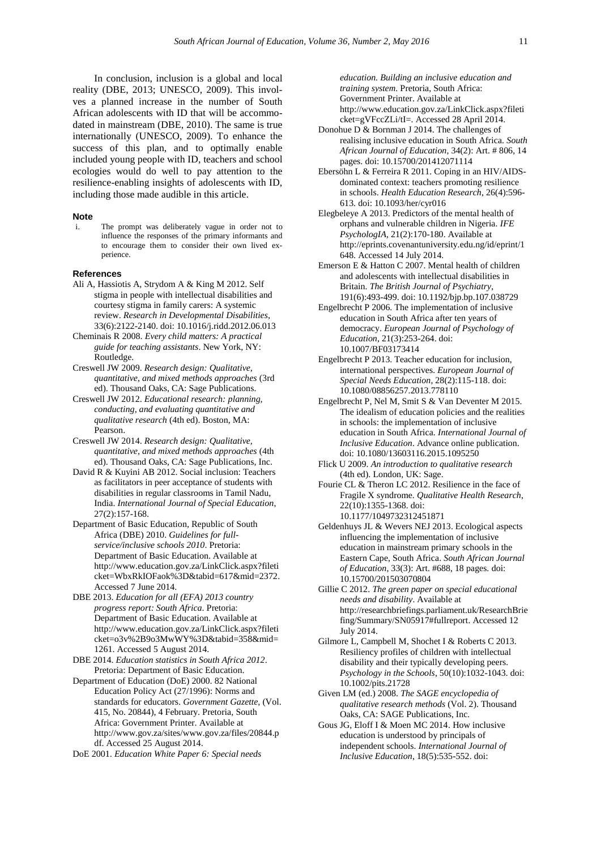In conclusion, inclusion is a global and local reality (DBE, 2013; UNESCO, 2009). This involves a planned increase in the number of South African adolescents with ID that will be accommodated in mainstream (DBE, 2010). The same is true internationally (UNESCO, 2009). To enhance the success of this plan, and to optimally enable included young people with ID, teachers and school ecologies would do well to pay attention to the resilience-enabling insights of adolescents with ID, including those made audible in this article.

#### **Note**

i. The prompt was deliberately vague in order not to influence the responses of the primary informants and to encourage them to consider their own lived experience.

#### **References**

- Ali A, Hassiotis A, Strydom A & King M 2012. Self stigma in people with intellectual disabilities and courtesy stigma in family carers: A systemic review. *Research in Developmental Disabilities*, 33(6):2122-2140. [doi: 10.1016/j.ridd.2012.06.013](http://www.sciencedirect.com/science/article/pii/S0891422212001618)
- Cheminais R 2008. *Every child matters: A practical guide for teaching assistants*. New York, NY: Routledge.
- Creswell JW 2009. *Research design: Qualitative, quantitative, and mixed methods approaches* (3rd ed). Thousand Oaks, CA: Sage Publications.
- Creswell JW 2012. *Educational research: planning, conducting, and evaluating quantitative and qualitative research* (4th ed). Boston, MA: Pearson.
- Creswell JW 2014. *Research design: Qualitative, quantitative, and mixed methods approaches* (4th ed). Thousand Oaks, CA: Sage Publications, Inc.
- David R & Kuyini AB 2012. Social inclusion: Teachers as facilitators in peer acceptance of students with disabilities in regular classrooms in Tamil Nadu, India. *International Journal of Special Education*, 27(2):157-168.
- Department of Basic Education, Republic of South Africa (DBE) 2010. *Guidelines for fullservice/inclusive schools 2010*. Pretoria: Department of Basic Education. Available at [http://www.education.gov.za/LinkClick.aspx?fileti](http://www.education.gov.za/LinkClick.aspx?fileticket=WbxRkIOFaok%3D&tabid=617&mid=2372) [cket=WbxRkIOFaok%3D&tabid=617&mid=2372.](http://www.education.gov.za/LinkClick.aspx?fileticket=WbxRkIOFaok%3D&tabid=617&mid=2372) Accessed 7 June 2014.
- DBE 2013. *Education for all (EFA) 2013 country progress report: South Africa*. Pretoria: Department of Basic Education. Available at [http://www.education.gov.za/LinkClick.aspx?fileti](http://www.education.gov.za/LinkClick.aspx?fileticket=o3v%2B9o3MwWY%3D&tabid=358&mid=1261) [cket=o3v%2B9o3MwWY%3D&tabid=358&mid=](http://www.education.gov.za/LinkClick.aspx?fileticket=o3v%2B9o3MwWY%3D&tabid=358&mid=1261) [1261.](http://www.education.gov.za/LinkClick.aspx?fileticket=o3v%2B9o3MwWY%3D&tabid=358&mid=1261) Accessed 5 August 2014.
- DBE 2014. *Education statistics in South Africa 2012*. Pretoria: Department of Basic Education.
- Department of Education (DoE) 2000. 82 National Education Policy Act (27/1996): Norms and standards for educators. *Government Gazette*, (Vol. 415, No. 20844), 4 February. Pretoria, South Africa: Government Printer. Available at [http://www.gov.za/sites/www.gov.za/files/20844.p](http://www.gov.za/sites/www.gov.za/files/20844.pdf) [df.](http://www.gov.za/sites/www.gov.za/files/20844.pdf) Accessed 25 August 2014.
- DoE 2001. *Education White Paper 6: Special needs*

*education. Building an inclusive education and training system*. Pretoria, South Africa: Government Printer. Available at http://www.education.gov.za/LinkClick.aspx?fileti cket=gVFccZLi/tI=. Accessed 28 April 2014.

- Donohue D & Bornman J 2014. The challenges of realising inclusive education in South Africa. *South African Journal of Education*, 34(2): Art. # 806, 14 pages[. doi: 10.15700/201412071114](http://www.sajournalofeducation.co.za/index.php/saje/article/view/806/415)
- Ebersöhn L & Ferreira R 2011. Coping in an HIV/AIDSdominated context: teachers promoting resilience in schools. *Health Education Research*, 26(4):596- 613[. doi: 10.1093/her/cyr016](http://her.oxfordjournals.org/content/26/4/596)
- Elegbeleye A 2013. Predictors of the mental health of orphans and vulnerable children in Nigeria. *IFE PsychologIA*, 21(2):170-180. Available at [http://eprints.covenantuniversity.edu.ng/id/eprint/1](http://eprints.covenantuniversity.edu.ng/id/eprint/1648) [648.](http://eprints.covenantuniversity.edu.ng/id/eprint/1648) Accessed 14 July 2014.
- Emerson E & Hatton C 2007. Mental health of children and adolescents with intellectual disabilities in Britain. *The British Journal of Psychiatry*, 191(6):493-499[. doi: 10.1192/bjp.bp.107.038729](http://bjp.rcpsych.org/content/191/6/493.short)
- Engelbrecht P 2006. The implementation of inclusive education in South Africa after ten years of democracy. *European Journal of Psychology of Education*, 21(3):253-264[. doi:](http://link.springer.com/article/10.1007/BF03173414)  [10.1007/BF03173414](http://link.springer.com/article/10.1007/BF03173414)
- Engelbrecht P 2013. Teacher education for inclusion, international perspectives. *European Journal of Special Needs Education*, 28(2):115-118[. doi:](http://www.tandfonline.com/doi/abs/10.1080/08856257.2013.778110?journalCode=rejs20) [10.1080/08856257.2013.778110](http://www.tandfonline.com/doi/abs/10.1080/08856257.2013.778110?journalCode=rejs20)
- Engelbrecht P, Nel M, Smit S & Van Deventer M 2015. The idealism of education policies and the realities in schools: the implementation of inclusive education in South Africa. *International Journal of Inclusive Education*. Advance online publication. [doi: 10.1080/13603116.2015.1095250](http://www.tandfonline.com/doi/abs/10.1080/13603116.2015.1095250)
- Flick U 2009. *An introduction to qualitative research* (4th ed). London, UK: Sage.
- Fourie CL & Theron LC 2012. Resilience in the face of Fragile X syndrome. *Qualitative Health Research*, 22(10):1355-1368[. doi:](http://qhr.sagepub.com/content/22/10/1355.short)  [10.1177/1049732312451871](http://qhr.sagepub.com/content/22/10/1355.short)
- Geldenhuys JL & Wevers NEJ 2013. Ecological aspects influencing the implementation of inclusive education in mainstream primary schools in the Eastern Cape, South Africa. *South African Journal of Education*, 33(3): Art. #688, 18 pages. [doi:](http://www.sajournalofeducation.co.za/index.php/saje/article/view/688/371)  [10.15700/201503070804](http://www.sajournalofeducation.co.za/index.php/saje/article/view/688/371)
- Gillie C 2012. *The green paper on special educational needs and disability*. Available at [http://researchbriefings.parliament.uk/ResearchBrie](http://researchbriefings.parliament.uk/ResearchBriefing/Summary/SN05917%23fullreport) [fing/Summary/SN05917#fullreport.](http://researchbriefings.parliament.uk/ResearchBriefing/Summary/SN05917%23fullreport) Accessed 12 July 2014.
- Gilmore L, Campbell M, Shochet I & Roberts C 2013. Resiliency profiles of children with intellectual disability and their typically developing peers. *Psychology in the Schools*, 50(10):1032-1043[. doi:](http://onlinelibrary.wiley.com/doi/10.1002/pits.21728/abstract;jsessionid=B88A9ACD614C84E5D9C239DD2645E891.f03t01?userIsAuthenticated=false&deniedAccessCustomisedMessage=)  [10.1002/pits.21728](http://onlinelibrary.wiley.com/doi/10.1002/pits.21728/abstract;jsessionid=B88A9ACD614C84E5D9C239DD2645E891.f03t01?userIsAuthenticated=false&deniedAccessCustomisedMessage=)
- Given LM (ed.) 2008. *The SAGE encyclopedia of qualitative research methods* (Vol. 2). Thousand Oaks, CA: SAGE Publications, Inc.
- Gous JG, Eloff I & Moen MC 2014. How inclusive education is understood by principals of independent schools. *International Journal of Inclusive Education*, 18(5):535-552[. doi:](http://www.tandfonline.com/doi/abs/10.1080/13603116.2013.802024)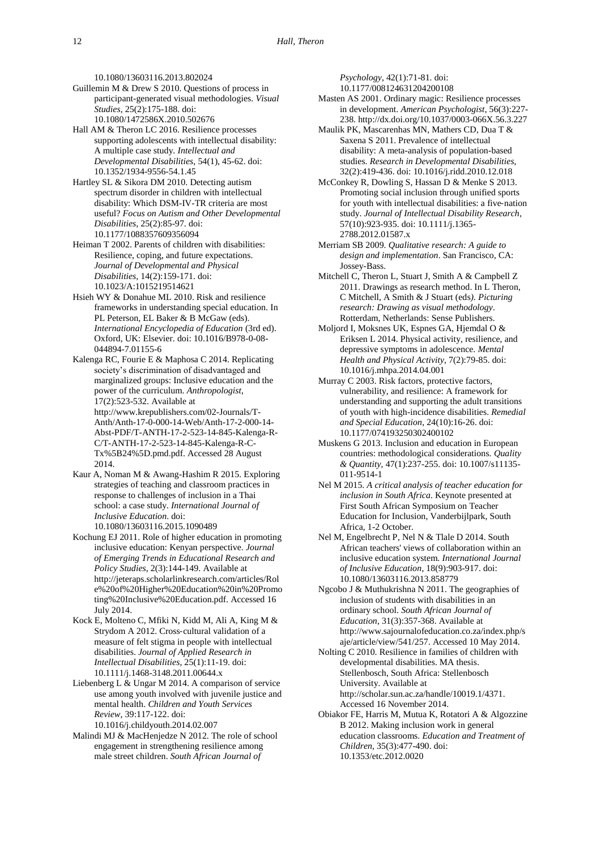[10.1080/13603116.2013.802024](http://www.tandfonline.com/doi/abs/10.1080/13603116.2013.802024)

- Guillemin M & Drew S 2010. Questions of process in participant-generated visual methodologies. *Visual Studies*, 25(2):175-188[. doi:](http://0-www.tandfonline.com.innopac.up.ac.za/doi/pdf/10.1080/1472586X.2010.502676?&userIP=137.215.9.20)  [10.1080/1472586X.2010.502676](http://0-www.tandfonline.com.innopac.up.ac.za/doi/pdf/10.1080/1472586X.2010.502676?&userIP=137.215.9.20)
- Hall AM & Theron LC 2016. Resilience processes supporting adolescents with intellectual disability: A multiple case study. *Intellectual and Developmental Disabilities*, 54(1), 45-62[. doi:](http://dx.doi.org/10.1352/1934-9556-54.1.45)  [10.1352/1934-9556-54.1.45](http://dx.doi.org/10.1352/1934-9556-54.1.45)
- Hartley SL & Sikora DM 2010. Detecting autism spectrum disorder in children with intellectual disability: Which DSM-IV-TR criteria are most useful? *Focus on Autism and Other Developmental Disabilities*, 25(2):85-97. [doi:](http://foa.sagepub.com/content/25/2/85.short)  [10.1177/1088357609356094](http://foa.sagepub.com/content/25/2/85.short)
- Heiman T 2002. Parents of children with disabilities: Resilience, coping, and future expectations. *Journal of Developmental and Physical Disabilities*, 14(2):159-171. [doi:](http://link.springer.com/article/10.1023/A:1015219514621)  [10.1023/A:1015219514621](http://link.springer.com/article/10.1023/A:1015219514621)
- Hsieh WY & Donahue ML 2010. Risk and resilience frameworks in understanding special education. In PL Peterson, EL Baker & B McGaw (eds). *International Encyclopedia of Education* (3rd ed). Oxford, UK: Elsevier[. doi: 10.1016/B978-0-08-](http://www.sciencedirect.com/science/article/pii/B9780080448947011556) [044894-7.01155-6](http://www.sciencedirect.com/science/article/pii/B9780080448947011556)
- Kalenga RC, Fourie E & Maphosa C 2014. Replicating society's discrimination of disadvantaged and marginalized groups: Inclusive education and the power of the curriculum. *Anthropologist*, 17(2):523-532. Available at [http://www.krepublishers.com/02-Journals/T-](http://www.krepublishers.com/02-Journals/T-Anth/Anth-17-0-000-14-Web/Anth-17-2-000-14-Abst-PDF/T-ANTH-17-2-523-14-845-Kalenga-R-C/T-ANTH-17-2-523-14-845-Kalenga-R-C-Tx%5B24%5D.pmd.pdf)[Anth/Anth-17-0-000-14-Web/Anth-17-2-000-14-](http://www.krepublishers.com/02-Journals/T-Anth/Anth-17-0-000-14-Web/Anth-17-2-000-14-Abst-PDF/T-ANTH-17-2-523-14-845-Kalenga-R-C/T-ANTH-17-2-523-14-845-Kalenga-R-C-Tx%5B24%5D.pmd.pdf) [Abst-PDF/T-ANTH-17-2-523-14-845-Kalenga-R-](http://www.krepublishers.com/02-Journals/T-Anth/Anth-17-0-000-14-Web/Anth-17-2-000-14-Abst-PDF/T-ANTH-17-2-523-14-845-Kalenga-R-C/T-ANTH-17-2-523-14-845-Kalenga-R-C-Tx%5B24%5D.pmd.pdf)[C/T-ANTH-17-2-523-14-845-Kalenga-R-C-](http://www.krepublishers.com/02-Journals/T-Anth/Anth-17-0-000-14-Web/Anth-17-2-000-14-Abst-PDF/T-ANTH-17-2-523-14-845-Kalenga-R-C/T-ANTH-17-2-523-14-845-Kalenga-R-C-Tx%5B24%5D.pmd.pdf)[Tx%5B24%5D.pmd.pdf.](http://www.krepublishers.com/02-Journals/T-Anth/Anth-17-0-000-14-Web/Anth-17-2-000-14-Abst-PDF/T-ANTH-17-2-523-14-845-Kalenga-R-C/T-ANTH-17-2-523-14-845-Kalenga-R-C-Tx%5B24%5D.pmd.pdf) Accessed 28 August 2014.
- Kaur A, Noman M & Awang-Hashim R 2015. Exploring strategies of teaching and classroom practices in response to challenges of inclusion in a Thai school: a case study. *International Journal of Inclusive Education*. [doi:](http://www.tandfonline.com/doi/abs/10.1080/13603116.2015.1090489#.Vrxnxk9qygY)  [10.1080/13603116.2015.1090489](http://www.tandfonline.com/doi/abs/10.1080/13603116.2015.1090489#.Vrxnxk9qygY)
- Kochung EJ 2011. Role of higher education in promoting inclusive education: Kenyan perspective. *Journal of Emerging Trends in Educational Research and Policy Studies*, 2(3):144-149. Available at [http://jeteraps.scholarlinkresearch.com/articles/Rol](http://jeteraps.scholarlinkresearch.com/articles/Role%20of%20Higher%20Education%20in%20Promoting%20Inclusive%20Education.pdf) [e%20of%20Higher%20Education%20in%20Promo](http://jeteraps.scholarlinkresearch.com/articles/Role%20of%20Higher%20Education%20in%20Promoting%20Inclusive%20Education.pdf) [ting%20Inclusive%20Education.pdf.](http://jeteraps.scholarlinkresearch.com/articles/Role%20of%20Higher%20Education%20in%20Promoting%20Inclusive%20Education.pdf) Accessed 16 July 2014.
- Kock E, Molteno C, Mfiki N, Kidd M, Ali A, King M & Strydom A 2012. Cross‐cultural validation of a measure of felt stigma in people with intellectual disabilities. *Journal of Applied Research in Intellectual Disabilities*, 25(1):11-19[. doi:](http://onlinelibrary.wiley.com/doi/10.1111/j.1468-3148.2011.00644.x/abstract;jsessionid=CEC5E1F834688F9E48F7DEEBEB193661.f04t02?userIsAuthenticated=false&deniedAccessCustomisedMessage=)  [10.1111/j.1468-3148.2011.00644.x](http://onlinelibrary.wiley.com/doi/10.1111/j.1468-3148.2011.00644.x/abstract;jsessionid=CEC5E1F834688F9E48F7DEEBEB193661.f04t02?userIsAuthenticated=false&deniedAccessCustomisedMessage=)
- Liebenberg L & Ungar M 2014. A comparison of service use among youth involved with juvenile justice and mental health. *Children and Youth Services Review*, 39:117-122. [doi:](http://www.sciencedirect.com/science/article/pii/S0190740914000449)

[10.1016/j.childyouth.2014.02.007](http://www.sciencedirect.com/science/article/pii/S0190740914000449)

Malindi MJ & MacHenjedze N 2012. The role of school engagement in strengthening resilience among male street children. *South African Journal of* 

*Psychology*, 42(1):71-81[. doi:](http://sap.sagepub.com/content/42/1/71.short)  [10.1177/008124631204200108](http://sap.sagepub.com/content/42/1/71.short)

- Masten AS 2001. Ordinary magic: Resilience processes in development. *American Psychologist*, 56(3):227- 238[. http://dx.doi.org/10.1037/0003-066X.56.3.227](http://psycnet.apa.org/doi/10.1037/0003-066X.56.3.227)
- Maulik PK, Mascarenhas MN, Mathers CD, Dua T & Saxena S 2011. Prevalence of intellectual disability: A meta-analysis of population-based studies. *Research in Developmental Disabilities*, 32(2):419-436[. doi: 10.1016/j.ridd.2010.12.018](http://www.sciencedirect.com/science/article/pii/S0891422210003082)
- McConkey R, Dowling S, Hassan D & Menke S 2013. Promoting social inclusion through unified sports for youth with intellectual disabilities: a five-nation study. *Journal of Intellectual Disability Research*, 57(10):923-935. [doi: 10.1111/j.1365-](http://onlinelibrary.wiley.com/doi/10.1111/j.1365-2788.2012.01587.x/abstract?userIsAuthenticated=false&deniedAccessCustomisedMessage=) [2788.2012.01587.x](http://onlinelibrary.wiley.com/doi/10.1111/j.1365-2788.2012.01587.x/abstract?userIsAuthenticated=false&deniedAccessCustomisedMessage=)
- Merriam SB 2009. *Qualitative research: A guide to design and implementation*. San Francisco, CA: Jossey-Bass.
- Mitchell C, Theron L, Stuart J, Smith A & Campbell Z 2011. Drawings as research method. In L Theron, C Mitchell, A Smith & J Stuart (eds*). Picturing research: Drawing as visual methodology*. Rotterdam, Netherlands: Sense Publishers.
- Moljord I, Moksnes UK, Espnes GA, Hjemdal O & Eriksen L 2014. Physical activity, resilience, and depressive symptoms in adolescence. *Mental Health and Physical Activity*, 7(2):79-85. [doi:](http://dx.doi.org/10.1016/j.mhpa.2014.04.001)  [10.1016/j.mhpa.2014.04.001](http://dx.doi.org/10.1016/j.mhpa.2014.04.001)
- Murray C 2003. Risk factors, protective factors, vulnerability, and resilience: A framework for understanding and supporting the adult transitions of youth with high-incidence disabilities. *Remedial and Special Education*, 24(10):16-26[. doi:](http://rse.sagepub.com/content/24/1/16.short)  [10.1177/074193250302400102](http://rse.sagepub.com/content/24/1/16.short)
- Muskens G 2013. Inclusion and education in European countries: methodological considerations. *Quality & Quantity*, 47(1):237-255[. doi: 10.1007/s11135-](http://link.springer.com/article/10.1007/s11135-011-9514-1) [011-9514-1](http://link.springer.com/article/10.1007/s11135-011-9514-1)
- Nel M 2015. *A critical analysis of teacher education for inclusion in South Africa*. Keynote presented at First South African Symposium on Teacher Education for Inclusion, Vanderbijlpark, South Africa, 1-2 October.
- Nel M, Engelbrecht P, Nel N & Tlale D 2014. South African teachers' views of collaboration within an inclusive education system. *International Journal of Inclusive Education*, 18(9):903-917. [doi:](http://www.tandfonline.com/doi/abs/10.1080/13603116.2013.858779)  [10.1080/13603116.2013.858779](http://www.tandfonline.com/doi/abs/10.1080/13603116.2013.858779)
- Ngcobo J & Muthukrishna N 2011. The geographies of inclusion of students with disabilities in an ordinary school. *South African Journal of Education*, 31(3):357-368. Available at [http://www.sajournalofeducation.co.za/index.php/s](http://www.sajournalofeducation.co.za/index.php/saje/article/view/541/257) [aje/article/view/541/257.](http://www.sajournalofeducation.co.za/index.php/saje/article/view/541/257) Accessed 10 May 2014.
- Nolting C 2010. Resilience in families of children with developmental disabilities. MA thesis. Stellenbosch, South Africa: Stellenbosch University. Available at [http://scholar.sun.ac.za/handle/10019.1/4371.](http://scholar.sun.ac.za/handle/10019.1/4371) Accessed 16 November 2014.
- Obiakor FE, Harris M, Mutua K, Rotatori A & Algozzine B 2012. Making inclusion work in general education classrooms. *Education and Treatment of Children*, 35(3):477-490[. doi:](http://muse.jhu.edu/login?auth=0&type=summary&url=/journals/education_and_treatment_of_children/v035/35.3.obiakor.html)  [10.1353/etc.2012.0020](http://muse.jhu.edu/login?auth=0&type=summary&url=/journals/education_and_treatment_of_children/v035/35.3.obiakor.html)